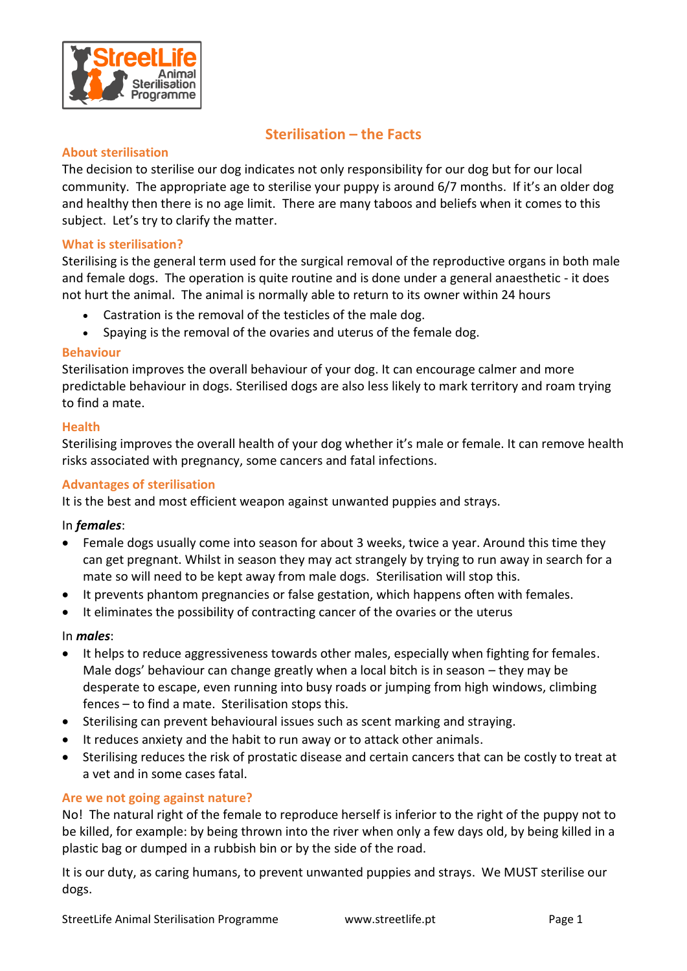

# **Sterilisation – the Facts**

#### **About sterilisation**

The decision to sterilise our dog indicates not only responsibility for our dog but for our local community. The appropriate age to sterilise your puppy is around 6/7 months. If it's an older dog and healthy then there is no age limit. There are many taboos and beliefs when it comes to this subject. Let's try to clarify the matter.

#### **What is sterilisation?**

Sterilising is the general term used for the surgical removal of the reproductive organs in both male and female dogs. The operation is quite routine and is done under a general anaesthetic - it does not hurt the animal. The animal is normally able to return to its owner within 24 hours

- Castration is the removal of the testicles of the male dog.
- Spaying is the removal of the ovaries and uterus of the female dog.

#### **Behaviour**

Sterilisation improves the overall behaviour of your dog. It can encourage calmer and more predictable behaviour in dogs. Sterilised dogs are also less likely to mark territory and roam trying to find a mate.

#### **Health**

Sterilising improves the overall health of your dog whether it's male or female. It can remove health risks associated with pregnancy, some cancers and fatal infections.

#### **Advantages of sterilisation**

It is the best and most efficient weapon against unwanted puppies and strays.

#### In *females*:

- Female dogs usually come into season for about 3 weeks, twice a year. Around this time they can get pregnant. Whilst in season they may act strangely by trying to run away in search for a mate so will need to be kept away from male dogs. Sterilisation will stop this.
- It prevents phantom pregnancies or false gestation, which happens often with females.
- It eliminates the possibility of contracting cancer of the ovaries or the uterus

#### In *males*:

- It helps to reduce aggressiveness towards other males, especially when fighting for females. Male dogs' behaviour can change greatly when a local bitch is in season – they may be desperate to escape, even running into busy roads or jumping from high windows, climbing fences – to find a mate. Sterilisation stops this.
- Sterilising can prevent behavioural issues such as scent marking and straying.
- It reduces anxiety and the habit to run away or to attack other animals.
- Sterilising reduces the risk of prostatic disease and certain cancers that can be costly to treat at a vet and in some cases fatal.

#### **Are we not going against nature?**

No! The natural right of the female to reproduce herself is inferior to the right of the puppy not to be killed, for example: by being thrown into the river when only a few days old, by being killed in a plastic bag or dumped in a rubbish bin or by the side of the road.

It is our duty, as caring humans, to prevent unwanted puppies and strays. We MUST sterilise our dogs.